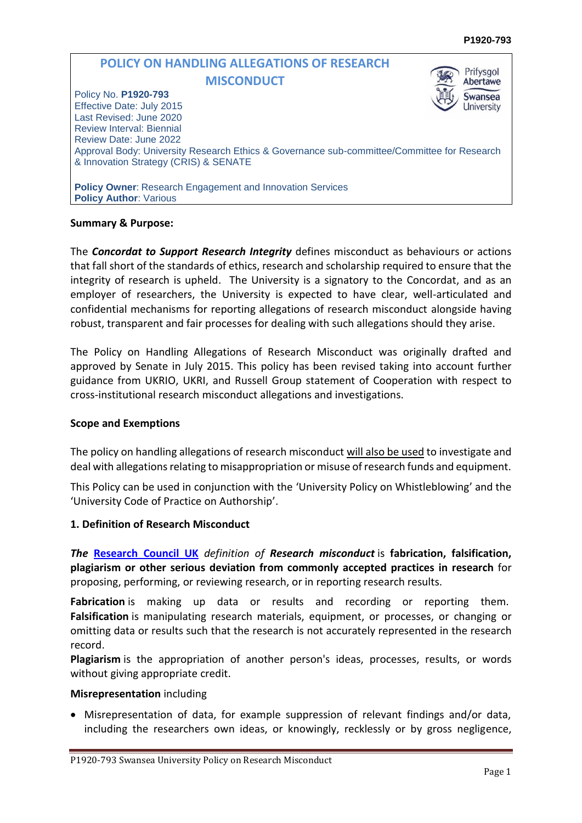#### **POLICY ON HANDLING ALLEGATIONS OF RESEARCH**  Prifysgol **MISCONDUCT** Abertawe Policy No. **P1920-793 Swansea** Effective Date: July 2015 University Last Revised: June 2020 Review Interval: Biennial Review Date: June 2022 Approval Body: University Research Ethics & Governance sub-committee/Committee for Research & Innovation Strategy (CRIS) & SENATE **Policy Owner**: Research Engagement and Innovation Services **Policy Author: Various**

### **Summary & Purpose:**

The *Concordat to Support Research Integrity* defines misconduct as behaviours or actions that fall short of the standards of ethics, research and scholarship required to ensure that the integrity of research is upheld. The University is a signatory to the Concordat, and as an employer of researchers, the University is expected to have clear, well-articulated and confidential mechanisms for reporting allegations of research misconduct alongside having robust, transparent and fair processes for dealing with such allegations should they arise.

The Policy on Handling Allegations of Research Misconduct was originally drafted and approved by Senate in July 2015. This policy has been revised taking into account further guidance from UKRIO, UKRI, and Russell Group statement of Cooperation with respect to cross-institutional research misconduct allegations and investigations.

### **Scope and Exemptions**

The policy on handling allegations of research misconduct will also be used to investigate and deal with allegations relating to misappropriation or misuse of research funds and equipment.

This Policy can be used in conjunction with the 'University Policy on Whistleblowing' and the 'University Code of Practice on Authorship'.

### **1. Definition of Research Misconduct**

*The* **[Research](https://www.ukri.org/files/termsconditions/rcukukriterms/investigating-allegations-of-misconduct-in-research-policy-pdf/) Council UK** *definition of Research misconduct* is **fabrication, falsification, plagiarism or other serious deviation from commonly accepted practices in research** for proposing, performing, or reviewing research, or in reporting research results.

**Fabrication** is making up data or results and recording or reporting them. **Falsification** is manipulating research materials, equipment, or processes, or changing or omitting data or results such that the research is not accurately represented in the research record.

**Plagiarism** is the appropriation of another person's ideas, processes, results, or words without giving appropriate credit.

### **Misrepresentation** including

 Misrepresentation of data, for example suppression of relevant findings and/or data, including the researchers own ideas, or knowingly, recklessly or by gross negligence,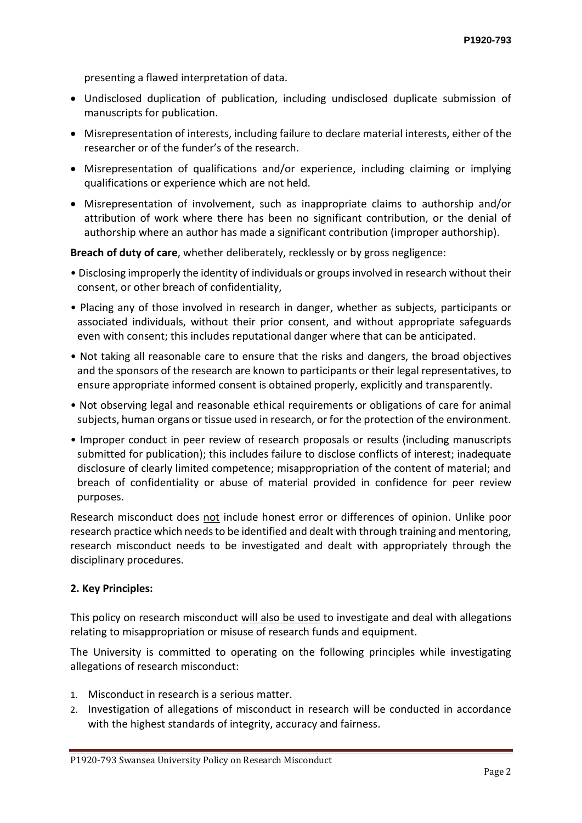presenting a flawed interpretation of data.

- Undisclosed duplication of publication, including undisclosed duplicate submission of manuscripts for publication.
- Misrepresentation of interests, including failure to declare material interests, either of the researcher or of the funder's of the research.
- Misrepresentation of qualifications and/or experience, including claiming or implying qualifications or experience which are not held.
- Misrepresentation of involvement, such as inappropriate claims to authorship and/or attribution of work where there has been no significant contribution, or the denial of authorship where an author has made a significant contribution (improper authorship).

**Breach of duty of care**, whether deliberately, recklessly or by gross negligence:

- Disclosing improperly the identity of individuals or groups involved in research without their consent, or other breach of confidentiality,
- Placing any of those involved in research in danger, whether as subjects, participants or associated individuals, without their prior consent, and without appropriate safeguards even with consent; this includes reputational danger where that can be anticipated.
- Not taking all reasonable care to ensure that the risks and dangers, the broad objectives and the sponsors of the research are known to participants or their legal representatives, to ensure appropriate informed consent is obtained properly, explicitly and transparently.
- Not observing legal and reasonable ethical requirements or obligations of care for animal subjects, human organs or tissue used in research, or for the protection of the environment.
- Improper conduct in peer review of research proposals or results (including manuscripts submitted for publication); this includes failure to disclose conflicts of interest; inadequate disclosure of clearly limited competence; misappropriation of the content of material; and breach of confidentiality or abuse of material provided in confidence for peer review purposes.

Research misconduct does not include honest error or differences of opinion. Unlike poor research practice which needs to be identified and dealt with through training and mentoring, research misconduct needs to be investigated and dealt with appropriately through the disciplinary procedures.

## **2. Key Principles:**

This policy on research misconduct will also be used to investigate and deal with allegations relating to misappropriation or misuse of research funds and equipment.

The University is committed to operating on the following principles while investigating allegations of research misconduct:

- 1. Misconduct in research is a serious matter.
- 2. Investigation of allegations of misconduct in research will be conducted in accordance with the highest standards of integrity, accuracy and fairness.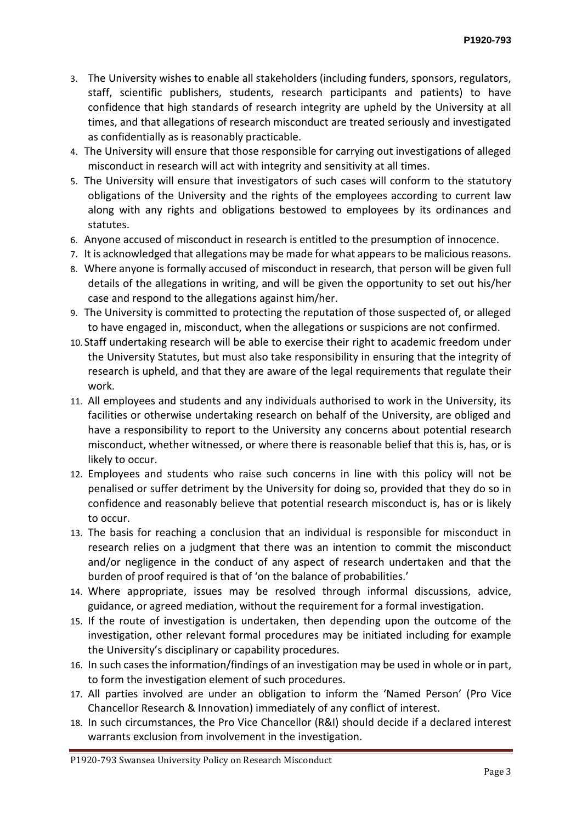- 3. The University wishes to enable all stakeholders (including funders, sponsors, regulators, staff, scientific publishers, students, research participants and patients) to have confidence that high standards of research integrity are upheld by the University at all times, and that allegations of research misconduct are treated seriously and investigated as confidentially as is reasonably practicable.
- 4. The University will ensure that those responsible for carrying out investigations of alleged misconduct in research will act with integrity and sensitivity at all times.
- 5. The University will ensure that investigators of such cases will conform to the statutory obligations of the University and the rights of the employees according to current law along with any rights and obligations bestowed to employees by its ordinances and statutes.
- 6. Anyone accused of misconduct in research is entitled to the presumption of innocence.
- 7. It is acknowledged that allegations may be made for what appears to be malicious reasons.
- 8. Where anyone is formally accused of misconduct in research, that person will be given full details of the allegations in writing, and will be given the opportunity to set out his/her case and respond to the allegations against him/her.
- 9. The University is committed to protecting the reputation of those suspected of, or alleged to have engaged in, misconduct, when the allegations or suspicions are not confirmed.
- 10. Staff undertaking research will be able to exercise their right to academic freedom under the University Statutes, but must also take responsibility in ensuring that the integrity of research is upheld, and that they are aware of the legal requirements that regulate their work.
- 11. All employees and students and any individuals authorised to work in the University, its facilities or otherwise undertaking research on behalf of the University, are obliged and have a responsibility to report to the University any concerns about potential research misconduct, whether witnessed, or where there is reasonable belief that this is, has, or is likely to occur.
- 12. Employees and students who raise such concerns in line with this policy will not be penalised or suffer detriment by the University for doing so, provided that they do so in confidence and reasonably believe that potential research misconduct is, has or is likely to occur.
- 13. The basis for reaching a conclusion that an individual is responsible for misconduct in research relies on a judgment that there was an intention to commit the misconduct and/or negligence in the conduct of any aspect of research undertaken and that the burden of proof required is that of 'on the balance of probabilities.'
- 14. Where appropriate, issues may be resolved through informal discussions, advice, guidance, or agreed mediation, without the requirement for a formal investigation.
- 15. If the route of investigation is undertaken, then depending upon the outcome of the investigation, other relevant formal procedures may be initiated including for example the University's disciplinary or capability procedures.
- 16. In such cases the information/findings of an investigation may be used in whole or in part, to form the investigation element of such procedures.
- 17. All parties involved are under an obligation to inform the 'Named Person' (Pro Vice Chancellor Research & Innovation) immediately of any conflict of interest.
- 18. In such circumstances, the Pro Vice Chancellor (R&I) should decide if a declared interest warrants exclusion from involvement in the investigation.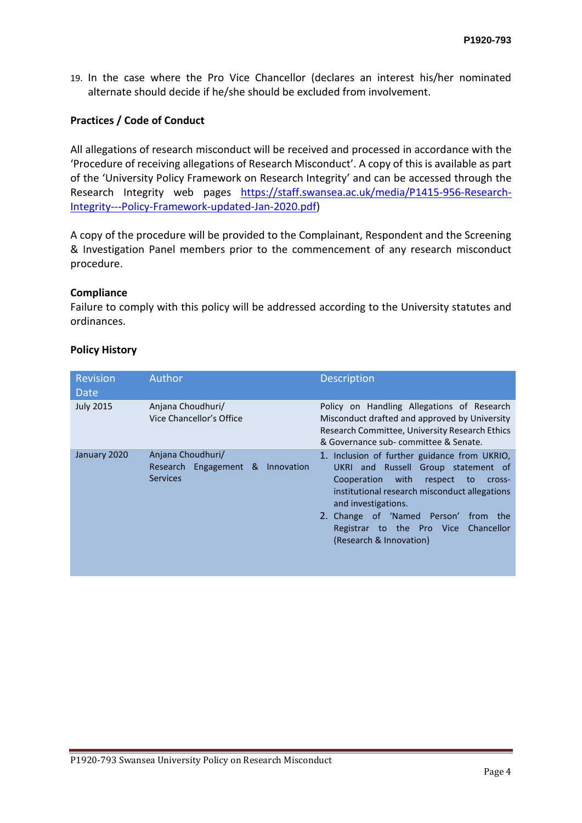19. In the case where the Pro Vice Chancellor (declares an interest his/her nominated alternate should decide if he/she should be excluded from involvement.

### **Practices / Code of Conduct**

All allegations of research misconduct will be received and processed in accordance with the 'Procedure of receiving allegations of Research Misconduct'. A copy of this is available as part of the 'University Policy Framework on Research Integrity' and can be accessed through the Research Integrity web pages [https://staff.swansea.ac.uk/media/P1415-956-Research-](https://staff.swansea.ac.uk/media/P1415-956-Research-Integrity---Policy-Framework-updated-Jan-2020.pdf)[Integrity---Policy-Framework-updated-Jan-2020.pdf\)](https://staff.swansea.ac.uk/media/P1415-956-Research-Integrity---Policy-Framework-updated-Jan-2020.pdf)

A copy of the procedure will be provided to the Complainant, Respondent and the Screening & Investigation Panel members prior to the commencement of any research misconduct procedure.

### **Compliance**

Failure to comply with this policy will be addressed according to the University statutes and ordinances.

### **Policy History**

| <b>Revision</b><br>Date | Author                                                                      | <b>Description</b>                                                                                                                                                                                                                                                                                                          |
|-------------------------|-----------------------------------------------------------------------------|-----------------------------------------------------------------------------------------------------------------------------------------------------------------------------------------------------------------------------------------------------------------------------------------------------------------------------|
| <b>July 2015</b>        | Anjana Choudhuri/<br>Vice Chancellor's Office                               | Policy on Handling Allegations of Research<br>Misconduct drafted and approved by University<br>Research Committee, University Research Ethics<br>& Governance sub-committee & Senate.                                                                                                                                       |
| January 2020            | Anjana Choudhuri/<br>Engagement & Innovation<br>Research<br><b>Services</b> | 1. Inclusion of further guidance from UKRIO,<br>UKRI and Russell Group statement of<br>with<br>Cooperation<br>respect<br>to<br>cross-<br>institutional research misconduct allegations<br>and investigations.<br>2. Change of 'Named Person'<br>from the<br>Registrar to the Pro Vice Chancellor<br>(Research & Innovation) |